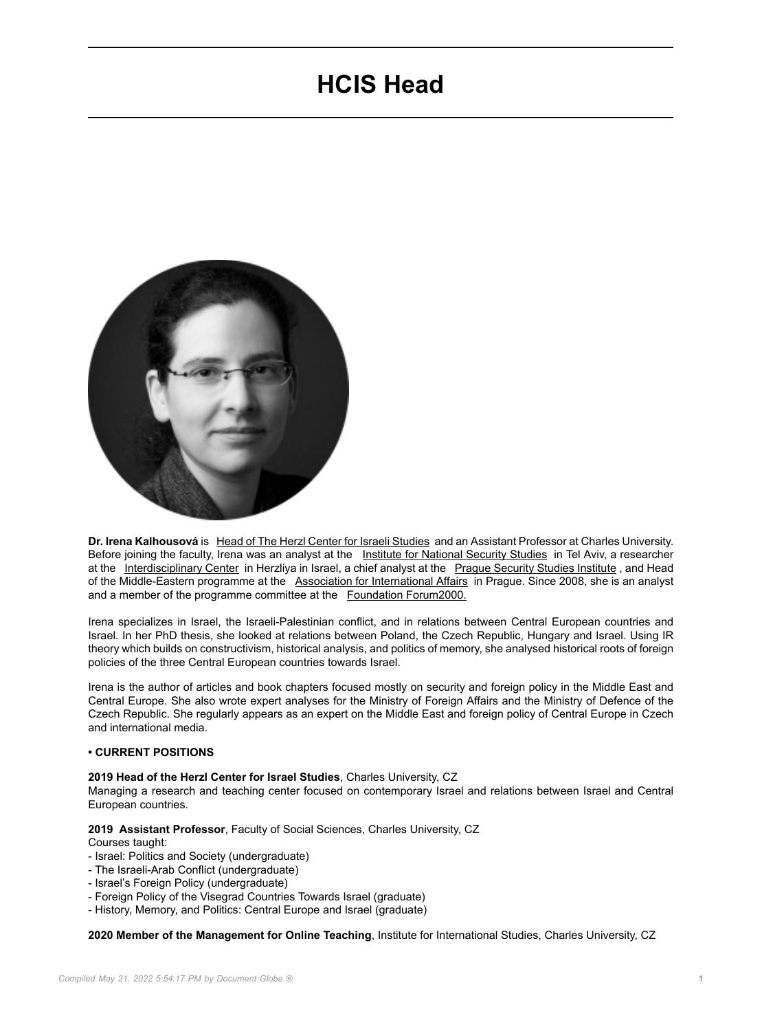# **HCIS Head**



**Dr. Irena Kalhousová** is [Head of The Herzl Center for Israeli Studies](https://herzl.cuni.cz/HERZL-1.html) and an Assistant Professor at Charles University. Before joining the faculty, Irena was an analyst at the [Institute for National Security Studies](https://www.inss.org.il/) in Tel Aviv, a researcher at the [Interdisciplinary Center](https://www.idc.ac.il/en/pages/home.aspx) in Herzliya in Israel, a chief analyst at the [Prague Security Studies Institute](http://www.pssi.cz/), and Head of the Middle-Eastern programme at the [Association for International Affairs](http://www.amo.cz/en/) in Prague. Since 2008, she is an analyst and a member of the programme committee at the [Foundation Forum2000.](https://www.forum2000.cz/en/homepage)

Irena specializes in Israel, the Israeli-Palestinian conflict, and in relations between Central European countries and Israel. In her PhD thesis, she looked at relations between Poland, the Czech Republic, Hungary and Israel. Using IR theory which builds on constructivism, historical analysis, and politics of memory, she analysed historical roots of foreign policies of the three Central European countries towards Israel.

Irena is the author of articles and book chapters focused mostly on security and foreign policy in the Middle East and Central Europe. She also wrote expert analyses for the Ministry of Foreign Affairs and the Ministry of Defence of the Czech Republic. She regularly appears as an expert on the Middle East and foreign policy of Central Europe in Czech and international media.

## **• CURRENT POSITIONS**

#### **2019 Head of the Herzl Center for Israel Studies**, Charles University, CZ

Managing a research and teaching center focused on contemporary Israel and relations between Israel and Central European countries.

**2019 Assistant Professor**, Faculty of Social Sciences, Charles University, CZ

## Courses taught:

- Israel: Politics and Society (undergraduate)
- The Israeli-Arab Conflict (undergraduate)
- Israel's Foreign Policy (undergraduate)
- Foreign Policy of the Visegrad Countries Towards Israel (graduate)
- History, Memory, and Politics: Central Europe and Israel (graduate)

**2020 Member of the Management for Online Teaching**, Institute for International Studies, Charles University, CZ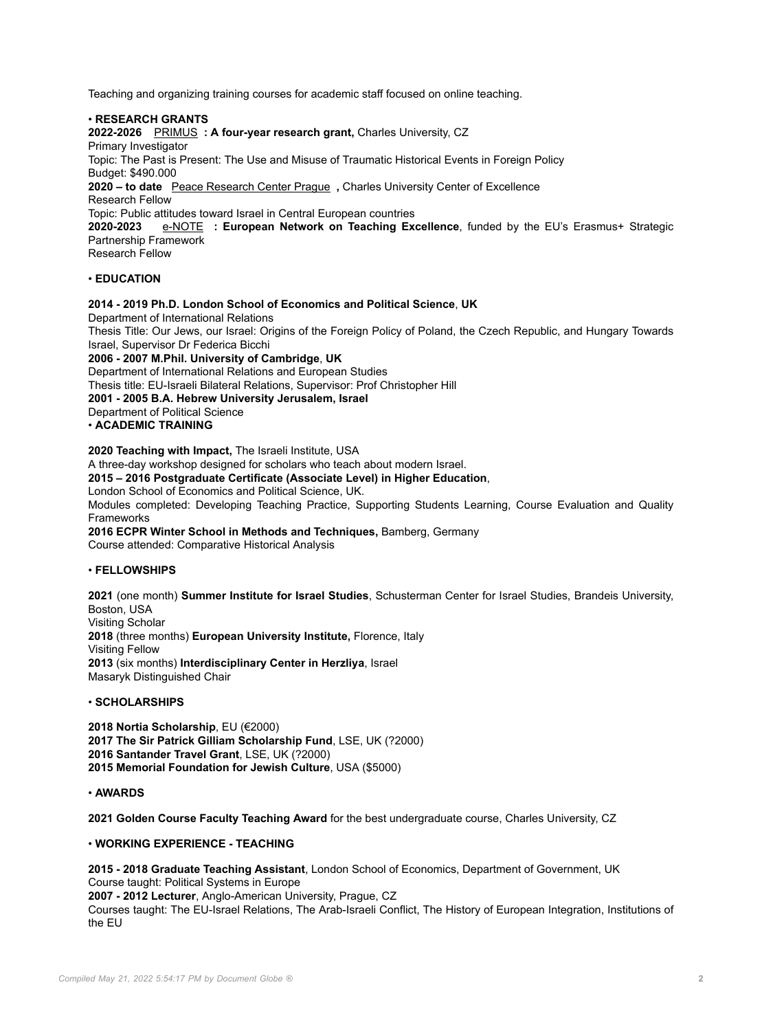Teaching and organizing training courses for academic staff focused on online teaching.

• **RESEARCH GRANTS**

**2022-2026** [PRIMUS](https://herzl.cuni.cz/HERZL-84.html) **: A four-year research grant,** Charles University, CZ Primary Investigator Topic: The Past is Present: The Use and Misuse of Traumatic Historical Events in Foreign Policy Budget: \$490.000 **2020 – to date** [Peace Research Center Prague](https://herzl.cuni.cz/HERZL-86.html) **,** Charles University Center of Excellence Research Fellow Topic: Public attitudes toward Israel in Central European countries **2020-2023** [e-NOTE](https://www.teachingexcellence.eu/) **: European Network on Teaching Excellence**, funded by the EU's Erasmus+ Strategic Partnership Framework Research Fellow

# • **EDUCATION**

## **2014 - 2019 Ph.D. London School of Economics and Political Science**, **UK**

Department of International Relations Thesis Title: Our Jews, our Israel: Origins of the Foreign Policy of Poland, the Czech Republic, and Hungary Towards Israel, Supervisor Dr Federica Bicchi **2006 - 2007 M.Phil. University of Cambridge**, **UK** Department of International Relations and European Studies Thesis title: EU-Israeli Bilateral Relations, Supervisor: Prof Christopher Hill **2001 - 2005 B.A. Hebrew University Jerusalem, Israel** Department of Political Science • **ACADEMIC TRAINING 2020 Teaching with Impact,** The Israeli Institute, USA

A three-day workshop designed for scholars who teach about modern Israel. **2015 – 2016 Postgraduate Certificate (Associate Level) in Higher Education**, London School of Economics and Political Science, UK. Modules completed: Developing Teaching Practice, Supporting Students Learning, Course Evaluation and Quality Frameworks **2016 ECPR Winter School in Methods and Techniques,** Bamberg, Germany Course attended: Comparative Historical Analysis

## • **FELLOWSHIPS**

**2021** (one month) **Summer Institute for Israel Studies**, Schusterman Center for Israel Studies, Brandeis University, Boston, USA Visiting Scholar **2018** (three months) **European University Institute,** Florence, Italy Visiting Fellow **2013** (six months) **Interdisciplinary Center in Herzliya**, Israel Masaryk Distinguished Chair

## • **SCHOLARSHIPS**

 **Nortia Scholarship**, EU (€2000) **The Sir Patrick Gilliam Scholarship Fund**, LSE, UK (?2000) **Santander Travel Grant**, LSE, UK (?2000) **Memorial Foundation for Jewish Culture**, USA (\$5000)

## • **AWARDS**

**2021 Golden Course Faculty Teaching Award** for the best undergraduate course, Charles University, CZ

# • **WORKING EXPERIENCE - TEACHING**

**2015 - 2018 Graduate Teaching Assistant**, London School of Economics, Department of Government, UK Course taught: Political Systems in Europe

**2007 - 2012 Lecturer**, Anglo-American University, Prague, CZ

Courses taught: The EU-Israel Relations, The Arab-Israeli Conflict, The History of European Integration, Institutions of the EU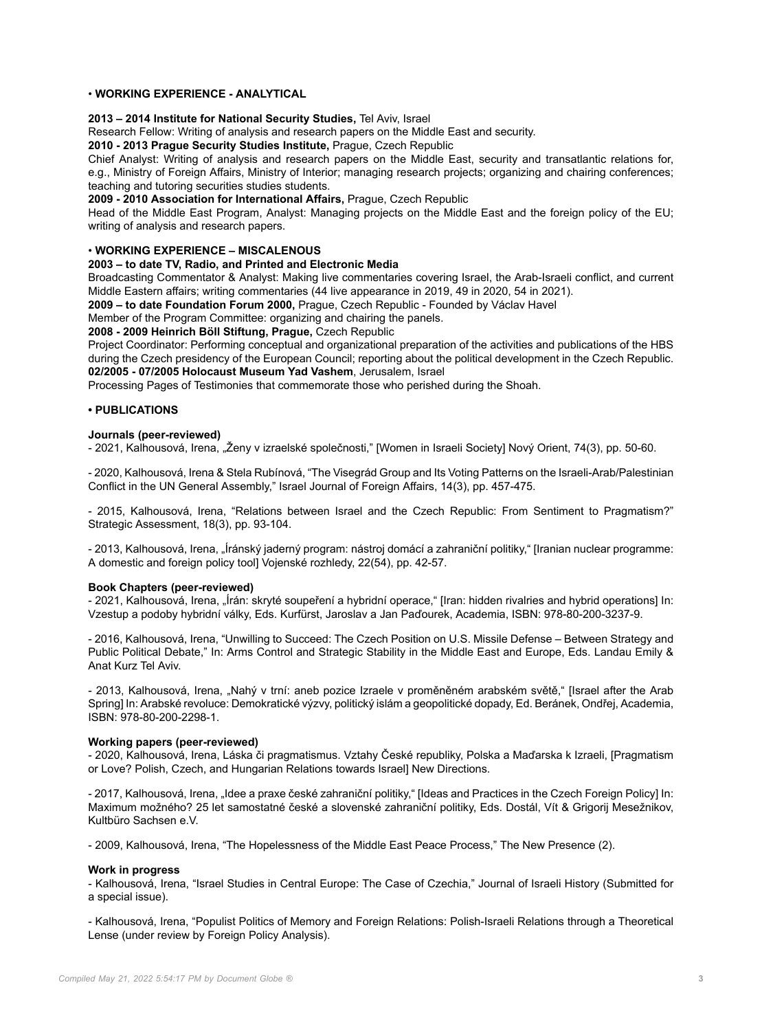# • **WORKING EXPERIENCE - ANALYTICAL**

# **2013 – 2014 Institute for National Security Studies,** Tel Aviv, Israel

Research Fellow: Writing of analysis and research papers on the Middle East and security.

**2010 - 2013 Prague Security Studies Institute,** Prague, Czech Republic

Chief Analyst: Writing of analysis and research papers on the Middle East, security and transatlantic relations for, e.g., Ministry of Foreign Affairs, Ministry of Interior; managing research projects; organizing and chairing conferences; teaching and tutoring securities studies students.

**2009 - 2010 Association for International Affairs,** Prague, Czech Republic

Head of the Middle East Program, Analyst: Managing projects on the Middle East and the foreign policy of the EU; writing of analysis and research papers.

# • **WORKING EXPERIENCE – MISCALENOUS**

#### **2003 – to date TV, Radio, and Printed and Electronic Media**

Broadcasting Commentator & Analyst: Making live commentaries covering Israel, the Arab-Israeli conflict, and current Middle Eastern affairs; writing commentaries (44 live appearance in 2019, 49 in 2020, 54 in 2021).

**2009 – to date Foundation Forum 2000,** Prague, Czech Republic - Founded by Václav Havel

Member of the Program Committee: organizing and chairing the panels.

## **2008 - 2009 Heinrich Böll Stiftung, Prague,** Czech Republic

Project Coordinator: Performing conceptual and organizational preparation of the activities and publications of the HBS during the Czech presidency of the European Council; reporting about the political development in the Czech Republic. **02/2005 - 07/2005 Holocaust Museum Yad Vashem**, Jerusalem, Israel

Processing Pages of Testimonies that commemorate those who perished during the Shoah.

# **• PUBLICATIONS**

#### **Journals (peer-reviewed)**

- 2021, Kalhousová, Irena, "Ženy v izraelské společnosti," [Women in Israeli Society] Nový Orient, 74(3), pp. 50-60.

- 2020, Kalhousová, Irena & Stela Rubínová, "The Visegrád Group and Its Voting Patterns on the Israeli-Arab/Palestinian Conflict in the UN General Assembly," Israel Journal of Foreign Affairs, 14(3), pp. 457-475.

- 2015, Kalhousová, Irena, "Relations between Israel and the Czech Republic: From Sentiment to Pragmatism?" Strategic Assessment, 18(3), pp. 93-104.

- 2013, Kalhousová, Irena, "Íránský jaderný program: nástroj domácí a zahraniční politiky," [Iranian nuclear programme: A domestic and foreign policy tool] Vojenské rozhledy, 22(54), pp. 42-57.

#### **Book Chapters (peer-reviewed)**

- 2021, Kalhousová, Irena, "Írán: skryté soupeření a hybridní operace," [Iran: hidden rivalries and hybrid operations] In: Vzestup a podoby hybridní války, Eds. Kurfürst, Jaroslav a Jan Paďourek, Academia, ISBN: 978-80-200-3237-9.

- 2016, Kalhousová, Irena, "Unwilling to Succeed: The Czech Position on U.S. Missile Defense – Between Strategy and Public Political Debate," In: Arms Control and Strategic Stability in the Middle East and Europe, Eds. Landau Emily & Anat Kurz Tel Aviv.

- 2013, Kalhousová, Irena, "Nahý v trní: aneb pozice Izraele v proměněném arabském světě," [Israel after the Arab Spring] In: Arabské revoluce: Demokratické výzvy, politický islám a geopolitické dopady, Ed. Beránek, Ondřej, Academia, ISBN: 978-80-200-2298-1.

#### **Working papers (peer-reviewed)**

- 2020, Kalhousová, Irena, Láska či pragmatismus. Vztahy České republiky, Polska a Maďarska k Izraeli, [Pragmatism or Love? Polish, Czech, and Hungarian Relations towards Israel] New Directions.

- 2017, Kalhousová, Irena, "Idee a praxe české zahraniční politiky," [Ideas and Practices in the Czech Foreign Policy] In: Maximum možného? 25 let samostatné české a slovenské zahraniční politiky, Eds. Dostál, Vít & Grigorij Mesežnikov, Kultbüro Sachsen e.V.

- 2009, Kalhousová, Irena, "The Hopelessness of the Middle East Peace Process," The New Presence (2).

## **Work in progress**

- Kalhousová, Irena, "Israel Studies in Central Europe: The Case of Czechia," Journal of Israeli History (Submitted for a special issue).

- Kalhousová, Irena, "Populist Politics of Memory and Foreign Relations: Polish-Israeli Relations through a Theoretical Lense (under review by Foreign Policy Analysis).